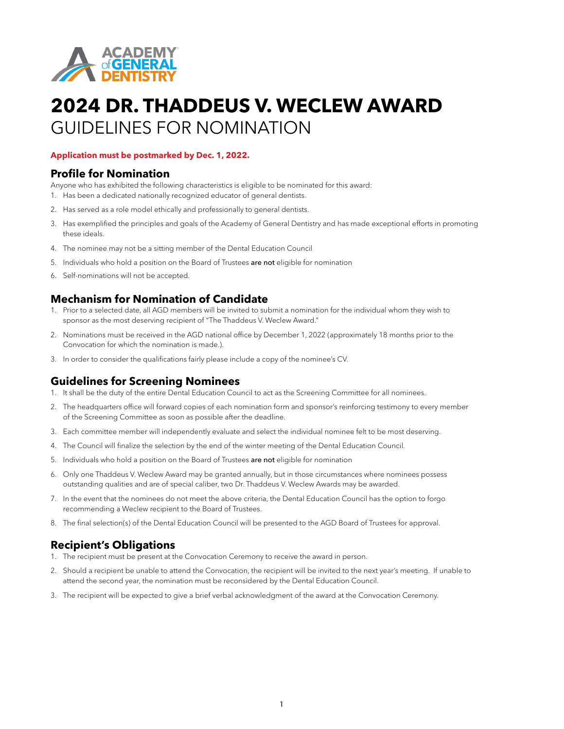

# **2024 DR. THADDEUS V. WECLEW AWARD** GUIDELINES FOR NOMINATION

#### **Application must be postmarked by Dec. 1, 2022.**

#### **Profile for Nomination**

Anyone who has exhibited the following characteristics is eligible to be nominated for this award:

- 1. Has been a dedicated nationally recognized educator of general dentists.
- 2. Has served as a role model ethically and professionally to general dentists.
- 3. Has exemplified the principles and goals of the Academy of General Dentistry and has made exceptional efforts in promoting these ideals.
- 4. The nominee may not be a sitting member of the Dental Education Council
- 5. Individuals who hold a position on the Board of Trustees are not eligible for nomination
- 6. Self-nominations will not be accepted.

### **Mechanism for Nomination of Candidate**

- 1. Prior to a selected date, all AGD members will be invited to submit a nomination for the individual whom they wish to sponsor as the most deserving recipient of "The Thaddeus V. Weclew Award."
- 2. Nominations must be received in the AGD national office by December 1, 2022 (approximately 18 months prior to the Convocation for which the nomination is made.).
- 3. In order to consider the qualifications fairly please include a copy of the nominee's CV.

### **Guidelines for Screening Nominees**

- 1. It shall be the duty of the entire Dental Education Council to act as the Screening Committee for all nominees.
- 2. The headquarters office will forward copies of each nomination form and sponsor's reinforcing testimony to every member of the Screening Committee as soon as possible after the deadline.
- 3. Each committee member will independently evaluate and select the individual nominee felt to be most deserving.
- 4. The Council will finalize the selection by the end of the winter meeting of the Dental Education Council.
- 5. Individuals who hold a position on the Board of Trustees are not eligible for nomination
- 6. Only one Thaddeus V. Weclew Award may be granted annually, but in those circumstances where nominees possess outstanding qualities and are of special caliber, two Dr. Thaddeus V. Weclew Awards may be awarded.
- 7. In the event that the nominees do not meet the above criteria, the Dental Education Council has the option to forgo recommending a Weclew recipient to the Board of Trustees.
- 8. The final selection(s) of the Dental Education Council will be presented to the AGD Board of Trustees for approval.

### **Recipient's Obligations**

- 1. The recipient must be present at the Convocation Ceremony to receive the award in person.
- 2. Should a recipient be unable to attend the Convocation, the recipient will be invited to the next year's meeting. If unable to attend the second year, the nomination must be reconsidered by the Dental Education Council.
- 3. The recipient will be expected to give a brief verbal acknowledgment of the award at the Convocation Ceremony.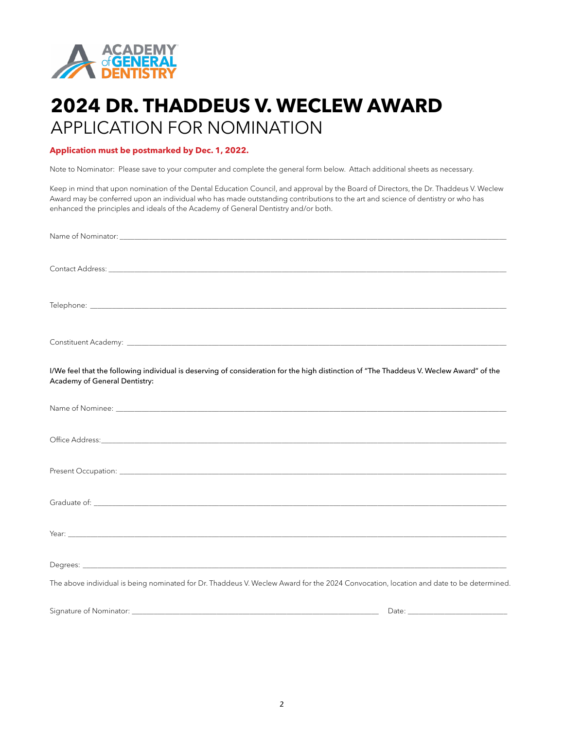

## **2024 DR. THADDEUS V. WECLEW AWARD** APPLICATION FOR NOMINATION

#### **Application must be postmarked by Dec. 1, 2022.**

Note to Nominator: Please save to your computer and complete the general form below. Attach additional sheets as necessary.

Keep in mind that upon nomination of the Dental Education Council, and approval by the Board of Directors, the Dr. Thaddeus V. Weclew Award may be conferred upon an individual who has made outstanding contributions to the art and science of dentistry or who has enhanced the principles and ideals of the Academy of General Dentistry and/or both.

| I/We feel that the following individual is deserving of consideration for the high distinction of "The Thaddeus V. Weclew Award" of the<br>Academy of General Dentistry: |  |
|--------------------------------------------------------------------------------------------------------------------------------------------------------------------------|--|
|                                                                                                                                                                          |  |
|                                                                                                                                                                          |  |
|                                                                                                                                                                          |  |
|                                                                                                                                                                          |  |
|                                                                                                                                                                          |  |
|                                                                                                                                                                          |  |
| The above individual is being nominated for Dr. Thaddeus V. Weclew Award for the 2024 Convocation, location and date to be determined.                                   |  |
|                                                                                                                                                                          |  |